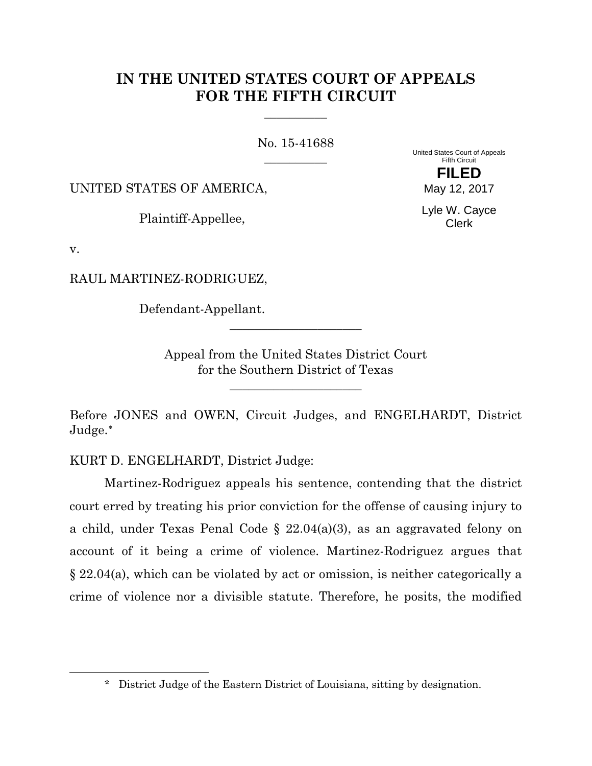# **IN THE UNITED STATES COURT OF APPEALS FOR THE FIFTH CIRCUIT**

**\_\_\_\_\_\_\_\_\_\_**

No. 15-41688 **\_\_\_\_\_\_\_\_\_\_**

UNITED STATES OF AMERICA,

Plaintiff-Appellee,

United States Court of Appeals Fifth Circuit **FILED** May 12, 2017

> Lyle W. Cayce Clerk

v.

<span id="page-0-0"></span> $\overline{a}$ 

RAUL MARTINEZ-RODRIGUEZ,

Defendant-Appellant.

Appeal from the United States District Court for the Southern District of Texas

**\_\_\_\_\_\_\_\_\_\_\_\_\_\_\_\_\_\_\_\_\_**

**\_\_\_\_\_\_\_\_\_\_\_\_\_\_\_\_\_\_\_\_\_**

Before JONES and OWEN, Circuit Judges, and ENGELHARDT, District Judge.[∗](#page-0-0)

KURT D. ENGELHARDT, District Judge:

Martinez-Rodriguez appeals his sentence, contending that the district court erred by treating his prior conviction for the offense of causing injury to a child, under Texas Penal Code § 22.04(a)(3), as an aggravated felony on account of it being a crime of violence. Martinez-Rodriguez argues that § 22.04(a), which can be violated by act or omission, is neither categorically a crime of violence nor a divisible statute. Therefore, he posits, the modified

<sup>\*</sup> District Judge of the Eastern District of Louisiana, sitting by designation.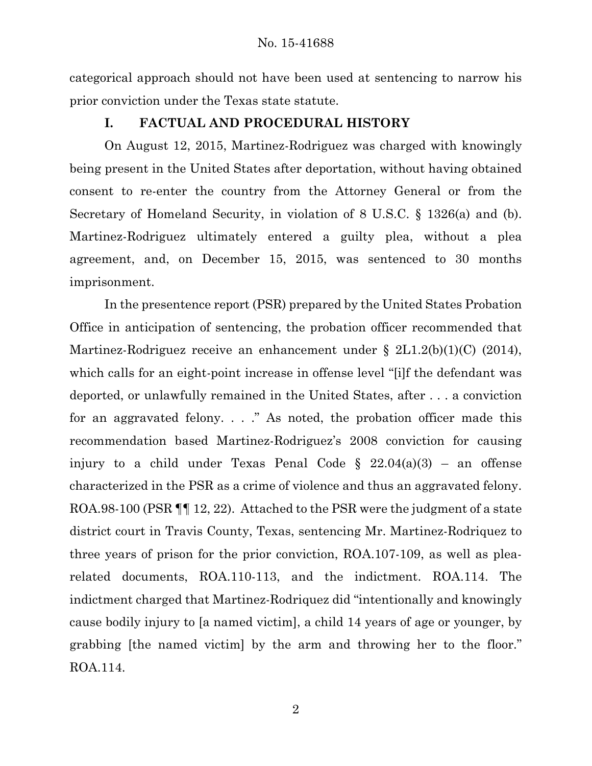categorical approach should not have been used at sentencing to narrow his prior conviction under the Texas state statute.

# **I. FACTUAL AND PROCEDURAL HISTORY**

On August 12, 2015, Martinez-Rodriguez was charged with knowingly being present in the United States after deportation, without having obtained consent to re-enter the country from the Attorney General or from the Secretary of Homeland Security, in violation of 8 U.S.C. § 1326(a) and (b). Martinez-Rodriguez ultimately entered a guilty plea, without a plea agreement, and, on December 15, 2015, was sentenced to 30 months imprisonment.

In the presentence report (PSR) prepared by the United States Probation Office in anticipation of sentencing, the probation officer recommended that Martinez-Rodriguez receive an enhancement under § 2L1.2(b)(1)(C) (2014), which calls for an eight-point increase in offense level "[i]f the defendant was deported, or unlawfully remained in the United States, after . . . a conviction for an aggravated felony. . . ." As noted, the probation officer made this recommendation based Martinez-Rodriguez's 2008 conviction for causing injury to a child under Texas Penal Code  $\S$  22.04(a)(3) – an offense characterized in the PSR as a crime of violence and thus an aggravated felony. ROA.98-100 (PSR ¶¶ 12, 22). Attached to the PSR were the judgment of a state district court in Travis County, Texas, sentencing Mr. Martinez-Rodriquez to three years of prison for the prior conviction, ROA.107-109, as well as plearelated documents, ROA.110-113, and the indictment. ROA.114. The indictment charged that Martinez-Rodriquez did "intentionally and knowingly cause bodily injury to [a named victim], a child 14 years of age or younger, by grabbing [the named victim] by the arm and throwing her to the floor." ROA.114.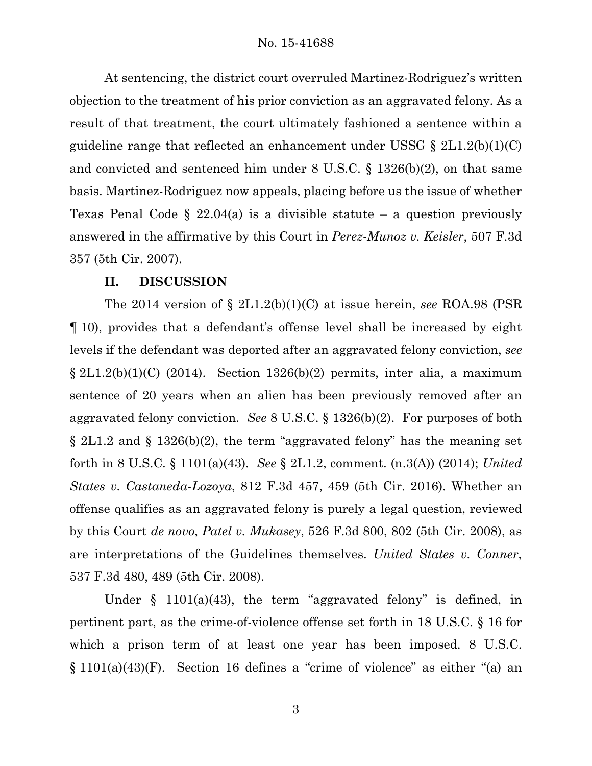At sentencing, the district court overruled Martinez-Rodriguez's written objection to the treatment of his prior conviction as an aggravated felony. As a result of that treatment, the court ultimately fashioned a sentence within a guideline range that reflected an enhancement under USSG  $\S 2L1.2(b)(1)(C)$ and convicted and sentenced him under 8 U.S.C. § 1326(b)(2), on that same basis. Martinez-Rodriguez now appeals, placing before us the issue of whether Texas Penal Code  $\S$  22.04(a) is a divisible statute – a question previously answered in the affirmative by this Court in *Perez-Munoz v. Keisler*, 507 F.3d 357 (5th Cir. 2007).

## **II. DISCUSSION**

The 2014 version of § 2L1.2(b)(1)(C) at issue herein, *see* ROA.98 (PSR ¶ 10), provides that a defendant's offense level shall be increased by eight levels if the defendant was deported after an aggravated felony conviction, *see* § 2L1.2(b)(1)(C) (2014). Section 1326(b)(2) permits, inter alia, a maximum sentence of 20 years when an alien has been previously removed after an aggravated felony conviction. *See* 8 U.S.C. § 1326(b)(2). For purposes of both § 2L1.2 and § 1326(b)(2), the term "aggravated felony" has the meaning set forth in 8 U.S.C. § 1101(a)(43). *See* § 2L1.2, comment. (n.3(A)) (2014); *United States v. Castaneda-Lozoya*, 812 F.3d 457, 459 (5th Cir. 2016). Whether an offense qualifies as an aggravated felony is purely a legal question, reviewed by this Court *de novo*, *Patel v. Mukasey*, 526 F.3d 800, 802 (5th Cir. 2008), as are interpretations of the Guidelines themselves. *United States v. Conner*, 537 F.3d 480, 489 (5th Cir. 2008).

Under § 1101(a)(43), the term "aggravated felony" is defined, in pertinent part, as the crime-of-violence offense set forth in 18 U.S.C. § 16 for which a prison term of at least one year has been imposed. 8 U.S.C. § 1101(a)(43)(F). Section 16 defines a "crime of violence" as either "(a) an

3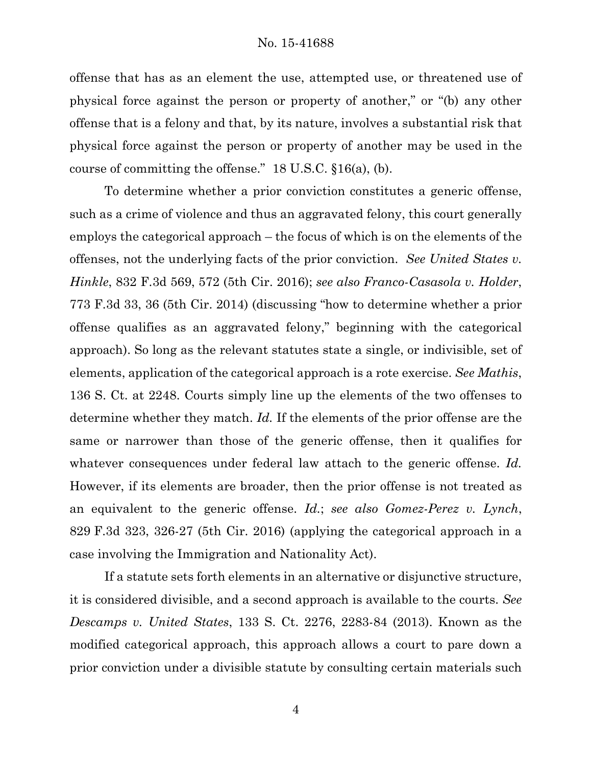offense that has as an element the use, attempted use, or threatened use of physical force against the person or property of another," or "(b) any other offense that is a felony and that, by its nature, involves a substantial risk that physical force against the person or property of another may be used in the course of committing the offense."  $18$  U.S.C.  $§16(a)$ , (b).

To determine whether a prior conviction constitutes a generic offense, such as a crime of violence and thus an aggravated felony, this court generally employs the categorical approach – the focus of which is on the elements of the offenses, not the underlying facts of the prior conviction. *See United States v. Hinkle*, 832 F.3d 569, 572 (5th Cir. 2016); *see also Franco-Casasola v. Holder*, 773 F.3d 33, 36 (5th Cir. 2014) (discussing "how to determine whether a prior offense qualifies as an aggravated felony," beginning with the categorical approach). So long as the relevant statutes state a single, or indivisible, set of elements, application of the categorical approach is a rote exercise. *See Mathis*, 136 S. Ct. at 2248. Courts simply line up the elements of the two offenses to determine whether they match. *Id.* If the elements of the prior offense are the same or narrower than those of the generic offense, then it qualifies for whatever consequences under federal law attach to the generic offense. *Id.* However, if its elements are broader, then the prior offense is not treated as an equivalent to the generic offense. *Id.*; *see also Gomez-Perez v. Lynch*, 829 F.3d 323, 326-27 (5th Cir. 2016) (applying the categorical approach in a case involving the Immigration and Nationality Act).

If a statute sets forth elements in an alternative or disjunctive structure, it is considered divisible, and a second approach is available to the courts. *See Descamps v. United States*, 133 S. Ct. 2276, 2283-84 (2013). Known as the modified categorical approach, this approach allows a court to pare down a prior conviction under a divisible statute by consulting certain materials such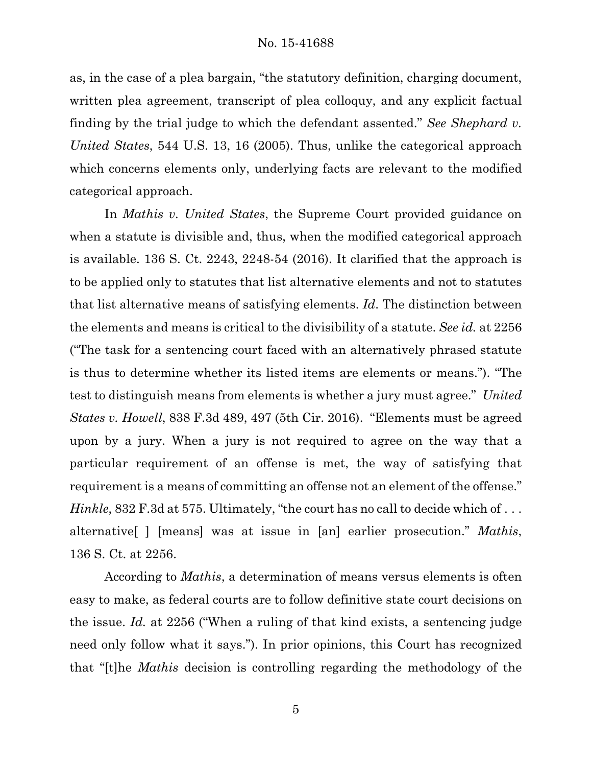as, in the case of a plea bargain, "the statutory definition, charging document, written plea agreement, transcript of plea colloquy, and any explicit factual finding by the trial judge to which the defendant assented." *See Shephard v. United States*, 544 U.S. 13, 16 (2005). Thus, unlike the categorical approach which concerns elements only, underlying facts are relevant to the modified categorical approach.

In *Mathis v. United States*, the Supreme Court provided guidance on when a statute is divisible and, thus, when the modified categorical approach is available. 136 S. Ct. 2243, 2248-54 (2016). It clarified that the approach is to be applied only to statutes that list alternative elements and not to statutes that list alternative means of satisfying elements. *Id*. The distinction between the elements and means is critical to the divisibility of a statute. *See id.* at 2256 ("The task for a sentencing court faced with an alternatively phrased statute is thus to determine whether its listed items are elements or means."). "The test to distinguish means from elements is whether a jury must agree." *United States v. Howell*, 838 F.3d 489, 497 (5th Cir. 2016). "Elements must be agreed upon by a jury. When a jury is not required to agree on the way that a particular requirement of an offense is met, the way of satisfying that requirement is a means of committing an offense not an element of the offense." *Hinkle*, 832 F.3d at 575. Ultimately, "the court has no call to decide which of ... alternative[ ] [means] was at issue in [an] earlier prosecution." *Mathis*, 136 S. Ct. at 2256.

According to *Mathis*, a determination of means versus elements is often easy to make, as federal courts are to follow definitive state court decisions on the issue. *Id.* at 2256 ("When a ruling of that kind exists, a sentencing judge need only follow what it says."). In prior opinions, this Court has recognized that "[t]he *Mathis* decision is controlling regarding the methodology of the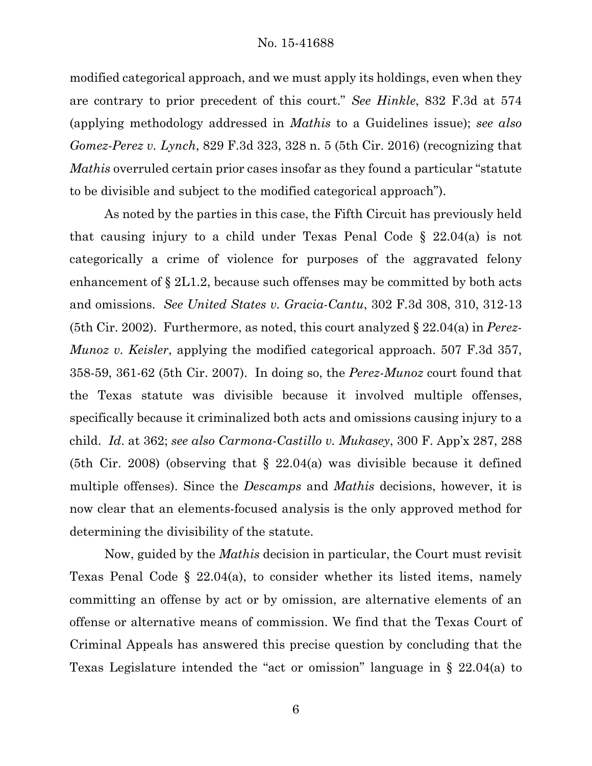modified categorical approach, and we must apply its holdings, even when they are contrary to prior precedent of this court." *See Hinkle*, 832 F.3d at 574 (applying methodology addressed in *Mathis* to a Guidelines issue); *see also Gomez-Perez v. Lynch*, 829 F.3d 323, 328 n. 5 (5th Cir. 2016) (recognizing that *Mathis* overruled certain prior cases insofar as they found a particular "statute to be divisible and subject to the modified categorical approach").

As noted by the parties in this case, the Fifth Circuit has previously held that causing injury to a child under Texas Penal Code § 22.04(a) is not categorically a crime of violence for purposes of the aggravated felony enhancement of § 2L1.2, because such offenses may be committed by both acts and omissions. *See United States v. Gracia-Cantu*, 302 F.3d 308, 310, 312-13 (5th Cir. 2002). Furthermore, as noted, this court analyzed § 22.04(a) in *Perez-Munoz v. Keisler*, applying the modified categorical approach. 507 F.3d 357, 358-59, 361-62 (5th Cir. 2007). In doing so, the *Perez-Munoz* court found that the Texas statute was divisible because it involved multiple offenses, specifically because it criminalized both acts and omissions causing injury to a child. *Id*. at 362; *see also Carmona-Castillo v. Mukasey*, 300 F. App'x 287, 288 (5th Cir. 2008) (observing that § 22.04(a) was divisible because it defined multiple offenses). Since the *Descamps* and *Mathis* decisions, however, it is now clear that an elements-focused analysis is the only approved method for determining the divisibility of the statute.

Now, guided by the *Mathis* decision in particular, the Court must revisit Texas Penal Code § 22.04(a), to consider whether its listed items, namely committing an offense by act or by omission, are alternative elements of an offense or alternative means of commission. We find that the Texas Court of Criminal Appeals has answered this precise question by concluding that the Texas Legislature intended the "act or omission" language in § 22.04(a) to